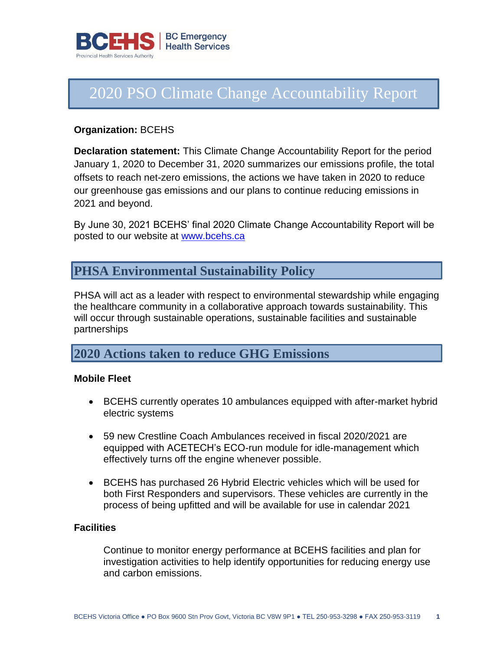

# 2020 PSO Climate Change Accountability Report

#### **Organization:** BCEHS

**Declaration statement:** This Climate Change Accountability Report for the period January 1, 2020 to December 31, 2020 summarizes our emissions profile, the total offsets to reach net-zero emissions, the actions we have taken in 2020 to reduce our greenhouse gas emissions and our plans to continue reducing emissions in 2021 and beyond.

By June 30, 2021 BCEHS' final 2020 Climate Change Accountability Report will be posted to our website at<www.bcehs.ca>

## **PHSA Environmental Sustainability Policy**

PHSA will act as a leader with respect to environmental stewardship while engaging the healthcare community in a collaborative approach towards sustainability. This will occur through sustainable operations, sustainable facilities and sustainable partnerships

## **2020 Actions taken to reduce GHG Emissions**

#### **Mobile Fleet**

- BCEHS currently operates 10 ambulances equipped with after-market hybrid electric systems
- 59 new Crestline Coach Ambulances received in fiscal 2020/2021 are equipped with ACETECH's ECO-run module for idle-management which effectively turns off the engine whenever possible.
- BCEHS has purchased 26 Hybrid Electric vehicles which will be used for both First Responders and supervisors. These vehicles are currently in the process of being upfitted and will be available for use in calendar 2021

#### **Facilities**

Continue to monitor energy performance at BCEHS facilities and plan for investigation activities to help identify opportunities for reducing energy use and carbon emissions.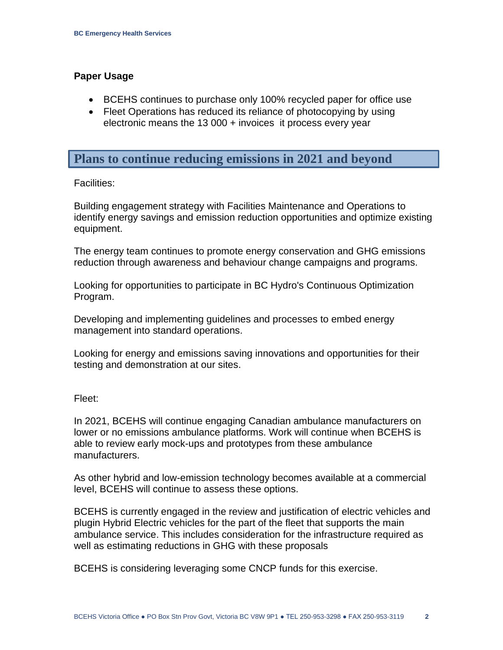#### **Paper Usage**

- BCEHS continues to purchase only 100% recycled paper for office use
- Fleet Operations has reduced its reliance of photocopying by using electronic means the 13 000 + invoices it process every year

### **Plans to continue reducing emissions in 2021 and beyond**

#### Facilities:

Building engagement strategy with Facilities Maintenance and Operations to identify energy savings and emission reduction opportunities and optimize existing equipment.

The energy team continues to promote energy conservation and GHG emissions reduction through awareness and behaviour change campaigns and programs.

Looking for opportunities to participate in BC Hydro's Continuous Optimization Program.

Developing and implementing guidelines and processes to embed energy management into standard operations.

Looking for energy and emissions saving innovations and opportunities for their testing and demonstration at our sites.

#### Fleet:

In 2021, BCEHS will continue engaging Canadian ambulance manufacturers on lower or no emissions ambulance platforms. Work will continue when BCEHS is able to review early mock-ups and prototypes from these ambulance manufacturers.

As other hybrid and low-emission technology becomes available at a commercial level, BCEHS will continue to assess these options.

BCEHS is currently engaged in the review and justification of electric vehicles and plugin Hybrid Electric vehicles for the part of the fleet that supports the main ambulance service. This includes consideration for the infrastructure required as well as estimating reductions in GHG with these proposals

BCEHS is considering leveraging some CNCP funds for this exercise.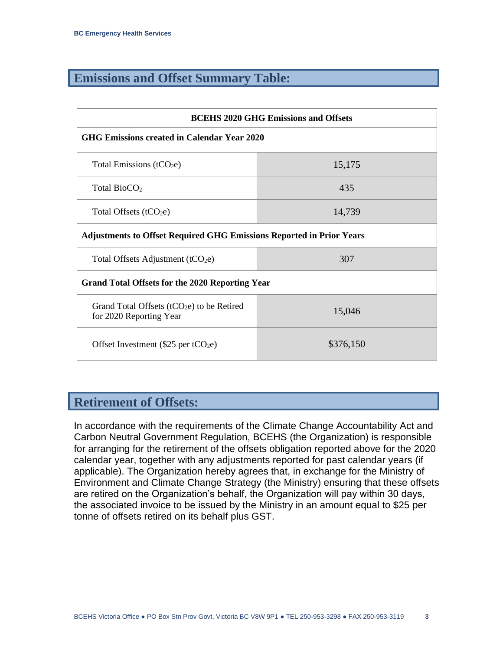# **Emissions and Offset Summary Table:**

| <b>BCEHS 2020 GHG Emissions and Offsets</b>                                 |           |  |  |  |
|-----------------------------------------------------------------------------|-----------|--|--|--|
| GHG Emissions created in Calendar Year 2020                                 |           |  |  |  |
| Total Emissions ( $tCO2e$ )                                                 | 15,175    |  |  |  |
| Total $BioCO2$                                                              | 435       |  |  |  |
| Total Offsets $(tCO2e)$                                                     | 14,739    |  |  |  |
| <b>Adjustments to Offset Required GHG Emissions Reported in Prior Years</b> |           |  |  |  |
| Total Offsets Adjustment $(tCO2e)$                                          | 307       |  |  |  |
| <b>Grand Total Offsets for the 2020 Reporting Year</b>                      |           |  |  |  |
| Grand Total Offsets ( $tCO2e$ ) to be Retired<br>for 2020 Reporting Year    | 15,046    |  |  |  |
| Offset Investment $(\$25$ per tCO <sub>2</sub> e)                           | \$376,150 |  |  |  |

# **Retirement of Offsets:**

In accordance with the requirements of the Climate Change Accountability Act and Carbon Neutral Government Regulation, BCEHS (the Organization) is responsible for arranging for the retirement of the offsets obligation reported above for the 2020 calendar year, together with any adjustments reported for past calendar years (if applicable). The Organization hereby agrees that, in exchange for the Ministry of Environment and Climate Change Strategy (the Ministry) ensuring that these offsets are retired on the Organization's behalf, the Organization will pay within 30 days, the associated invoice to be issued by the Ministry in an amount equal to \$25 per tonne of offsets retired on its behalf plus GST.